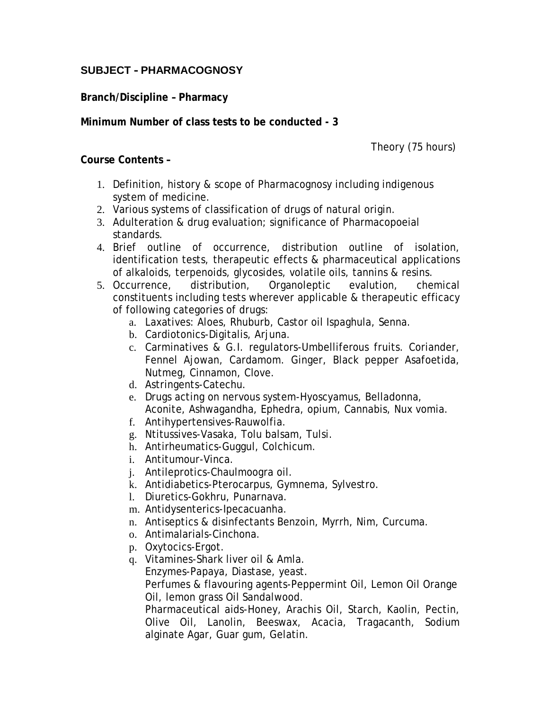## **SUBJECT – PHARMACOGNOSY**

**Branch/Discipline – Pharmacy**

**Minimum Number of class tests to be conducted - 3**

Theory (75 hours)

**Course Contents –**

- 1. Definition, history & scope of Pharmacognosy including indigenous system of medicine.
- 2. Various systems of classification of drugs of natural origin.
- 3. Adulteration & drug evaluation; significance of Pharmacopoeial standards.
- 4. Brief outline of occurrence, distribution outline of isolation, identification tests, therapeutic effects & pharmaceutical applications of alkaloids, terpenoids, glycosides, volatile oils, tannins & resins.
- 5. Occurrence, distribution, Organoleptic evalution, chemical constituents including tests wherever applicable & therapeutic efficacy of following categories of drugs:
	- a. Laxatives: Aloes, Rhuburb, Castor oil Ispaghula, Senna.
	- b. Cardiotonics-Digitalis, Arjuna.
	- c. Carminatives & G.I. regulators-Umbelliferous fruits. Coriander, Fennel Ajowan, Cardamom. Ginger, Black pepper Asafoetida, Nutmeg, Cinnamon, Clove.
	- d. Astringents-Catechu.
	- e. Drugs acting on nervous system-Hyoscyamus, Belladonna, Aconite, Ashwagandha, Ephedra, opium, Cannabis, Nux vomia.
	- f. Antihypertensives-Rauwolfia.
	- g. Ntitussives-Vasaka, Tolu balsam, Tulsi.
	- h. Antirheumatics-Guggul, Colchicum.
	- i. Antitumour-Vinca.
	- j. Antileprotics-Chaulmoogra oil.
	- k. Antidiabetics-Pterocarpus, Gymnema, Sylvestro.
	- l. Diuretics-Gokhru, Punarnava.
	- m. Antidysenterics-Ipecacuanha.
	- n. Antiseptics & disinfectants Benzoin, Myrrh, Nim, Curcuma.
	- o. Antimalarials-Cinchona.
	- p. Oxytocics-Ergot.
	- q. Vitamines-Shark liver oil & Amla. Enzymes-Papaya, Diastase, yeast. Perfumes & flavouring agents-Peppermint Oil, Lemon Oil Orange Oil, lemon grass Oil Sandalwood.

Pharmaceutical aids-Honey, Arachis Oil, Starch, Kaolin, Pectin, Olive Oil, Lanolin, Beeswax, Acacia, Tragacanth, Sodium alginate Agar, Guar gum, Gelatin.